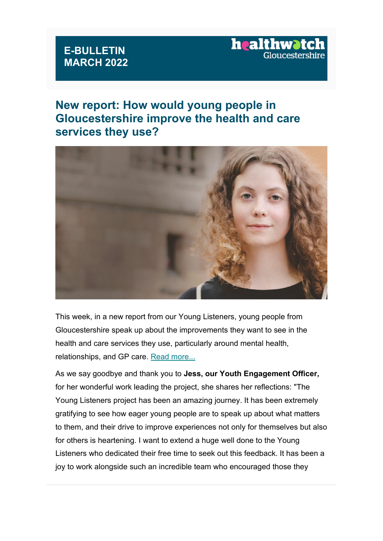#### **E-BULLETIN MARCH 2022**

# healthw?

## **New report: How would young people in Gloucestershire improve the health and care services they use?**



This week, in a new report from our Young Listeners, young people from Gloucestershire speak up about the improvements they want to see in the health and care services they use, particularly around mental health, relationships, and GP care. [Read more...](https://healthwatchgloucestershire.us3.list-manage.com/track/click?u=381cee1830e9e27f34f9e64ab&id=05e9d56ee9&e=5a7d9dae3a)

As we say goodbye and thank you to **Jess, our Youth Engagement Officer,**  for her wonderful work leading the project, she shares her reflections: "The Young Listeners project has been an amazing journey. It has been extremely gratifying to see how eager young people are to speak up about what matters to them, and their drive to improve experiences not only for themselves but also for others is heartening. I want to extend a huge well done to the Young Listeners who dedicated their free time to seek out this feedback. It has been a joy to work alongside such an incredible team who encouraged those they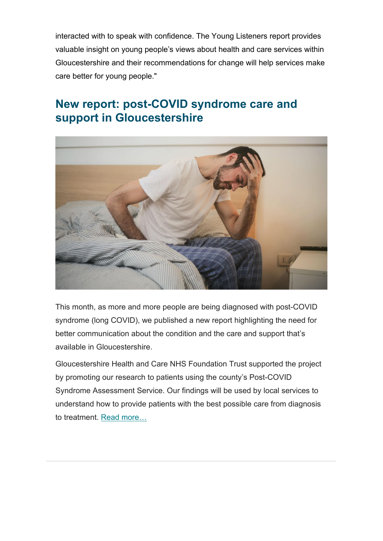interacted with to speak with confidence. The Young Listeners report provides valuable insight on young people's views about health and care services within Gloucestershire and their recommendations for change will help services make care better for young people."

## **New report: post-COVID syndrome care and support in Gloucestershire**



This month, as more and more people are being diagnosed with post-COVID syndrome (long COVID), we published a new report highlighting the need for better communication about the condition and the care and support that's available in Gloucestershire.

Gloucestershire Health and Care NHS Foundation Trust supported the project by promoting our research to patients using the county's Post-COVID Syndrome Assessment Service. Our findings will be used by local services to understand how to provide patients with the best possible care from diagnosis to treatment. [Read more…](https://healthwatchgloucestershire.us3.list-manage.com/track/click?u=381cee1830e9e27f34f9e64ab&id=107949692b&e=5a7d9dae3a)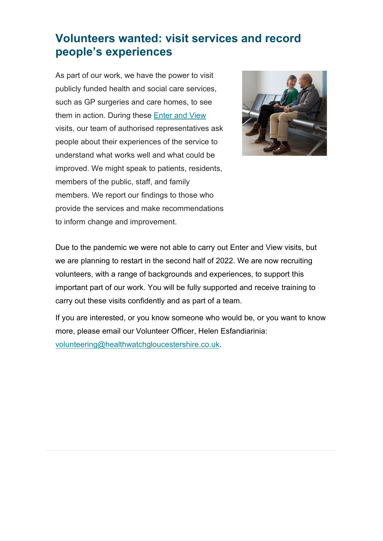## **Volunteers wanted: visit services and record people's experiences**

As part of our work, we have the power to visit publicly funded health and social care services, such as GP surgeries and care homes, to see them in action. During these [Enter and View](https://healthwatchgloucestershire.us3.list-manage.com/track/click?u=381cee1830e9e27f34f9e64ab&id=04d73c9263&e=5a7d9dae3a) visits, our team of authorised representatives ask people about their experiences of the service to understand what works well and what could be improved. We might speak to patients, residents, members of the public, staff, and family members. We report our findings to those who provide the services and make recommendations to inform change and improvement.



Due to the pandemic we were not able to carry out Enter and View visits, but we are planning to restart in the second half of 2022. We are now recruiting volunteers, with a range of backgrounds and experiences, to support this important part of our work. You will be fully supported and receive training to carry out these visits confidently and as part of a team.

If you are interested, or you know someone who would be, or you want to know more, please email our Volunteer Officer, Helen Esfandiarinia: [volunteering@healthwatchgloucestershire.co.uk.](mailto:volunteering@healthwatchgloucestershire.co.uk)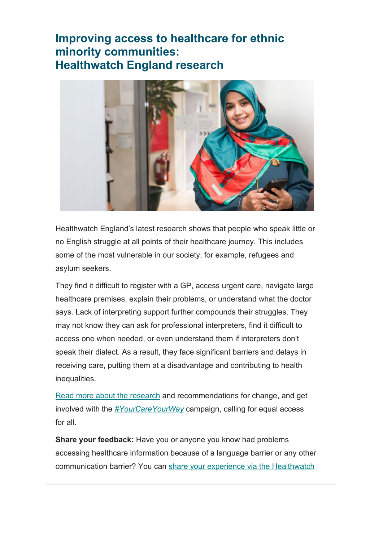### **Improving access to healthcare for ethnic minority communities: Healthwatch England research**



Healthwatch England's latest research shows that people who speak little or no English struggle at all points of their healthcare journey. This includes some of the most vulnerable in our society, for example, refugees and asylum seekers.

They find it difficult to register with a GP, access urgent care, navigate large healthcare premises, explain their problems, or understand what the doctor says. Lack of interpreting support further compounds their struggles. They may not know they can ask for professional interpreters, find it difficult to access one when needed, or even understand them if interpreters don't speak their dialect. As a result, they face significant barriers and delays in receiving care, putting them at a disadvantage and contributing to health inequalities.

[Read more about the research](https://healthwatchgloucestershire.us3.list-manage.com/track/click?u=381cee1830e9e27f34f9e64ab&id=9c8014c713&e=5a7d9dae3a) and recommendations for change, and get involved with the *[#YourCareYourWay](https://healthwatchgloucestershire.us3.list-manage.com/track/click?u=381cee1830e9e27f34f9e64ab&id=af49b79b74&e=5a7d9dae3a)* campaign, calling for equal access for all.

**Share your feedback:** Have you or anyone you know had problems accessing healthcare information because of a language barrier or any other communication barrier? You can [share your experience via the Healthwatch](https://healthwatchgloucestershire.us3.list-manage.com/track/click?u=381cee1830e9e27f34f9e64ab&id=b227744212&e=5a7d9dae3a)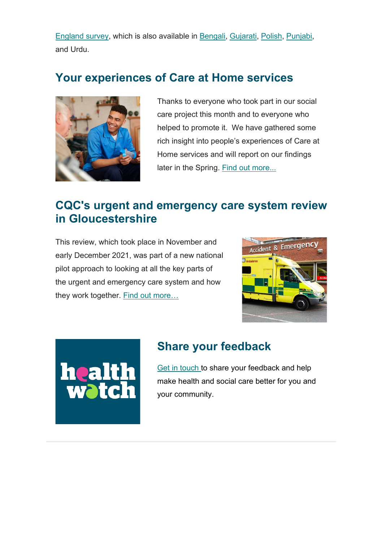[England survey,](https://healthwatchgloucestershire.us3.list-manage.com/track/click?u=381cee1830e9e27f34f9e64ab&id=b227744212&e=5a7d9dae3a) which is also available in [Bengali,](https://healthwatchgloucestershire.us3.list-manage.com/track/click?u=381cee1830e9e27f34f9e64ab&id=e700301a8c&e=5a7d9dae3a) [Gujarati,](https://healthwatchgloucestershire.us3.list-manage.com/track/click?u=381cee1830e9e27f34f9e64ab&id=75330bcc11&e=5a7d9dae3a) [Polish,](https://healthwatchgloucestershire.us3.list-manage.com/track/click?u=381cee1830e9e27f34f9e64ab&id=eca72126c0&e=5a7d9dae3a) [Punjabi,](https://healthwatchgloucestershire.us3.list-manage.com/track/click?u=381cee1830e9e27f34f9e64ab&id=47f5e6abf1&e=5a7d9dae3a) and Urdu.

#### **Your experiences of Care at Home services**



Thanks to everyone who took part in our social care project this month and to everyone who helped to promote it. We have gathered some rich insight into people's experiences of Care at Home services and will report on our findings later in the Spring. [Find out more...](https://healthwatchgloucestershire.us3.list-manage.com/track/click?u=381cee1830e9e27f34f9e64ab&id=6a9d8ef5e7&e=5a7d9dae3a)

## **CQC's urgent and emergency care system review in Gloucestershire**

This review, which took place in November and early December 2021, was part of a new national pilot approach to looking at all the key parts of the urgent and emergency care system and how they work together. Find out more...





# **Share your feedback**

[Get in touch t](https://healthwatchgloucestershire.us3.list-manage.com/track/click?u=381cee1830e9e27f34f9e64ab&id=d83d58008f&e=5a7d9dae3a)o share your feedback and help make health and social care better for you and your community.